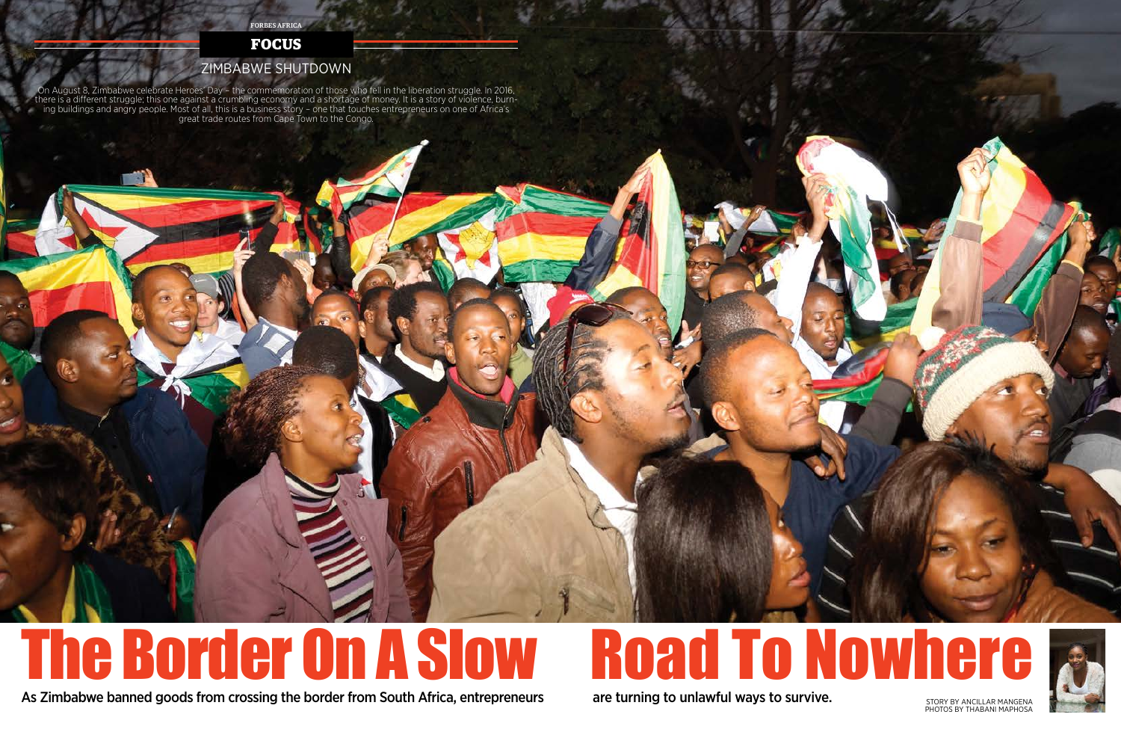## The Border On A Slow

#### As Zimbabwe banned goods from crossing the border from South Africa, entrepreneurs are turning to unlawful ways to survive. The story by ANCILLAR MANGENA

PHOTOS BY THABANI MAPHOSA

FORBES AFRICA

### ZIMBABWE SHUTDOWN

#### **FOCUS**

On August 8, Zimbabwe celebrate Heroes' Day – the commemoration of those who fell in the liberation struggle. In 2016, there is a different struggle; this one against a crumbling economy and a shortage of money. It is a story of violence, burn-<br>ing buildings and angry people. Most of all, this is a business story – one that touches entrepr great trade routes from Cape Town to the Congo.





are turning to unlawful ways to survive.

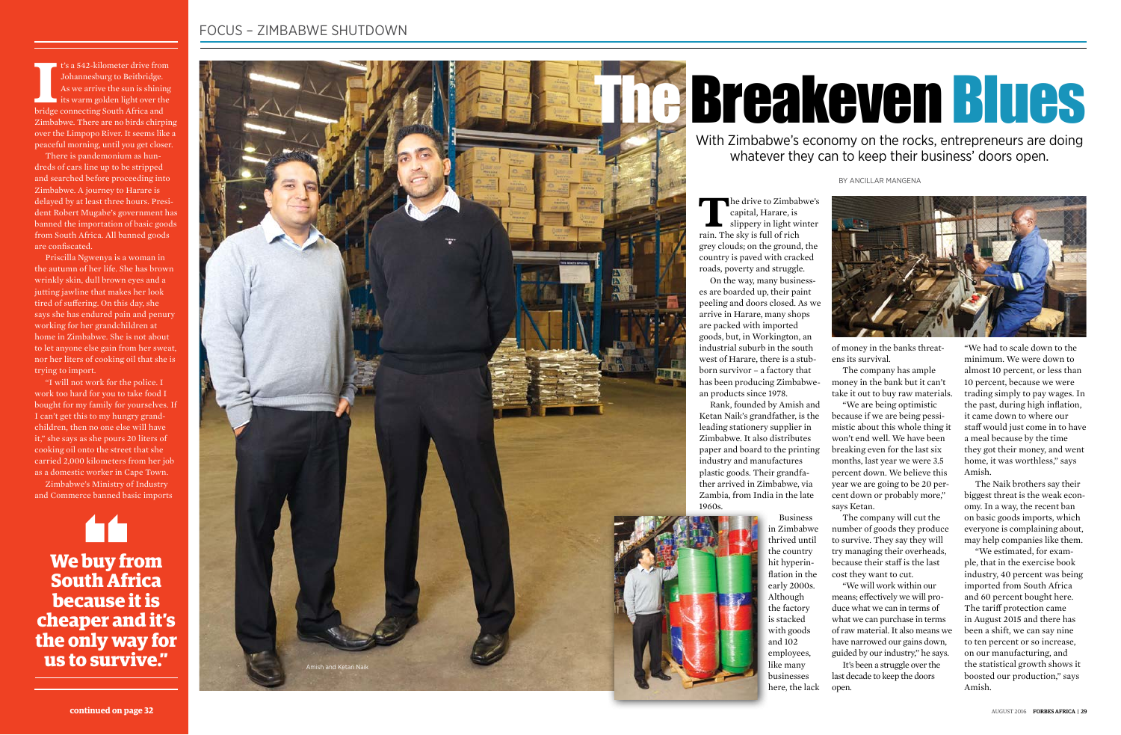<sup>1</sup>'s a 542-kilometer drive from Johannesburg to Beitbridge.<br>As we arrive the sun is shinire its warm golden light over the bridge connecting South Africa and  $\blacksquare$  t's a 542-kilometer drive from Johannesburg to Beitbridge. As we arrive the sun is shining its warm golden light over the Zimbabwe. There are no birds chirping over the Limpopo River. It seems like a peaceful morning, until you get closer.

There is pandemonium as hun dreds of cars line up to be stripped and searched before proceeding into Zimbabwe. A journey to Harare is delayed by at least three hours. Presi dent Robert Mugabe's government has banned the importation of basic goods from South Africa. All banned goods are confiscated.

Priscilla Ngwenya is a woman in the autumn of her life. She has brown wrinkly skin, dull brown eyes and a jutting jawline that makes her look tired of suffering. On this day, she says she has endured pain and penury working for her grandchildren at home in Zimbabwe. She is not about to let anyone else gain from her sweat, nor her liters of cooking oil that she is trying to import.

The drive to Zimbabwe's capital, Harare, is slippery in light winter rain. The sky is full of rich grey clouds; on the ground, the country is paved with cracked roads, poverty and struggle.

"I will not work for the police. I work too hard for you to take food I bought for my family for yourselves. If I can't get this to my hungry grand children, then no one else will have it," she says as she pours 20 liters of cooking oil onto the street that she carried 2,000 kilometers from her job as a domestic worker in Cape Town.

Zimbabwe's Ministry of Industry and Commerce banned basic imports

#### FOCUS – ZIMBABWE SHUTDOWN

**We buy from South Africa because it is cheaper and it's the only way for us to survive."**

## TheBreakeven Blues

BY ANCILLAR MANGENA

With Zimbabwe's economy on the rocks, entrepreneurs are doing whatever they can to keep their business' doors open.



On the way, many business es are boarded up, their paint peeling and doors closed. As we arrive in Harare, many shops are packed with imported goods, but, in Workington, an industrial suburb in the south west of Harare, there is a stub born survivor – a factory that has been producing Zimbabwe an products since 1978.

Rank, founded by Amish and Ketan Naik's grandfather, is the leading stationery supplier in Zimbabwe. It also distributes paper and board to the printing industry and manufactures plastic goods. Their grandfa ther arrived in Zimbabwe, via Zambia, from India in the late 1960s.

> Business in Zimbabwe thrived until the country hit hyperin flation in the early 2000s. Although the factory is stacked with goods and 102 employees, like many businesses

of money in the banks threat ens its survival.

The company has ample money in the bank but it can't take it out to buy raw materials. "We are being optimistic because if we are being pessi mistic about this whole thing it won't end well. We have been breaking even for the last six months, last year we were 3.5 percent down. We believe this year we are going to be 20 per cent down or probably more," says Ketan.

here, the lack open.

The company will cut the number of goods they produce to survive. They say they will try managing their overheads, because their staff is the last cost they want to cut.

"We will work within our means; effectively we will pro duce what we can in terms of what we can purchase in terms of raw material. It also means we have narrowed our gains down, guided by our industry," he says. It's been a struggle over the last decade to keep the doors

"We had to scale down to the minimum. We were down to almost 10 percent, or less than 10 percent, because we were trading simply to pay wages. In the past, during high inflation, it came down to where our staff would just come in to have a meal because by the time they got their money, and went home, it was worthless," says Amish.

The Naik brothers say their biggest threat is the weak econ omy. In a way, the recent ban on basic goods imports, which everyone is complaining about, may help companies like them.

"We estimated, for exam ple, that in the exercise book industry, 40 percent was being imported from South Africa and 60 percent bought here. The tariff protection came in August 2015 and there has been a shift, we can say nine to ten percent or so increase, on our manufacturing, and the statistical growth shows it boosted our production," says Amish.

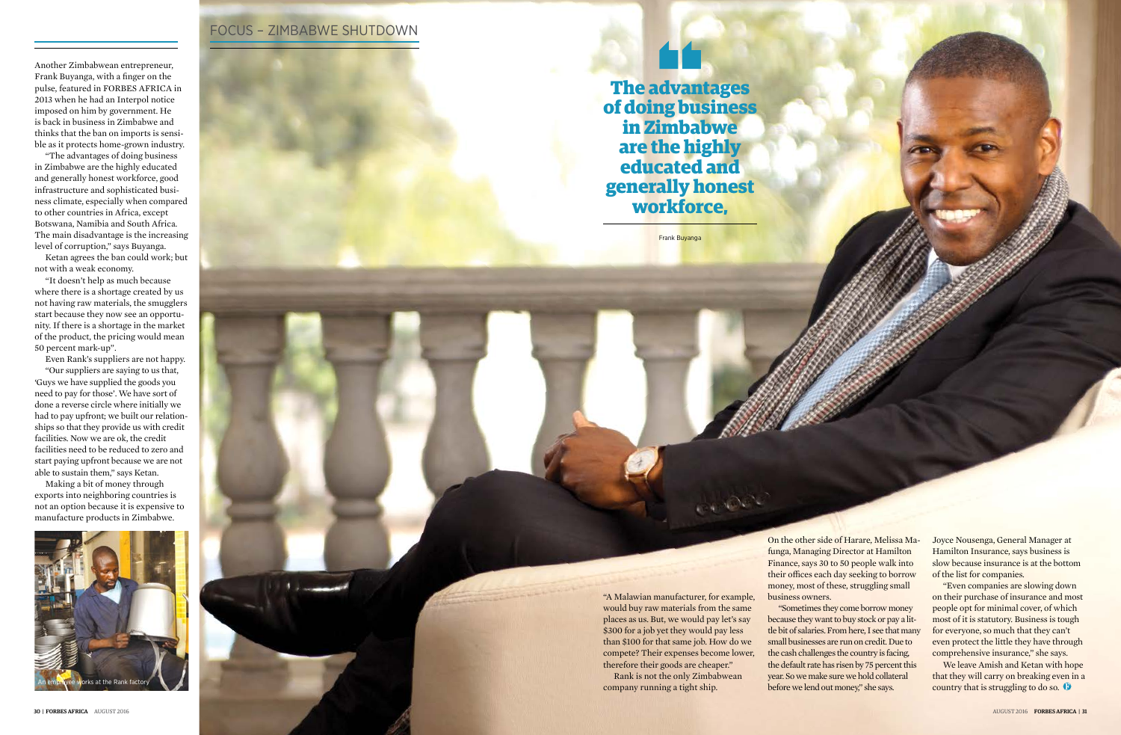30 | FORBES AFRICAAUGUST 2016

#### FOCUS – ZIMBABWE SHUTDOWN

"A Malawian manufacturer, for example, would buy raw materials from the same places as us. But, we would pay let's say \$300 for a job yet they would pay less than \$100 for that same job. How do we compete? Their expenses become lower, therefore their goods are cheaper."

Rank is not the only Zimbabwean company running a tight ship.

On the other side of Harare, Melissa Ma-

funga, Managing Director at Hamilton Finance, says 30 to 50 people walk into their offices each day seeking to borrow money, most of these, struggling small business owners.

"Sometimes they come borrow money because they want to buy stock or pay a little bit of salaries. From here, I see that many small businesses are run on credit. Due to the cash challenges the country is facing, the default rate has risen by 75 percent this year. So we make sure we hold collateral before we lend out money," she says.

Frank Buyanga

**The advantages of doing business in Zimbabwe are the highly educated and generally honest workforce,**

Another Zimbabwean entrepreneur, Frank Buyanga, with a finger on the pulse, featured in FORBES AFRICA in 2013 when he had an Interpol notice imposed on him by government. He is back in business in Zimbabwe and thinks that the ban on imports is sensible as it protects home-grown industry.

"The advantages of doing business in Zimbabwe are the highly educated and generally honest workforce, good infrastructure and sophisticated business climate, especially when compared to other countries in Africa, except Botswana, Namibia and South Africa. The main disadvantage is the increasing level of corruption," says Buyanga.

Ketan agrees the ban could work; but not with a weak economy.

"It doesn't help as much because where there is a shortage created by us not having raw materials, the smugglers start because they now see an opportunity. If there is a shortage in the market of the product, the pricing would mean 50 percent mark-up".

Even Rank's suppliers are not happy. "Our suppliers are saying to us that, 'Guys we have supplied the goods you need to pay for those'. We have sort of done a reverse circle where initially we had to pay upfront; we built our relationships so that they provide us with credit facilities. Now we are ok, the credit facilities need to be reduced to zero and start paying upfront because we are not able to sustain them," says Ketan.

Making a bit of money through exports into neighboring countries is not an option because it is expensive to manufacture products in Zimbabwe.

> Joyce Nousenga, General Manager at Hamilton Insurance, says business is slow because insurance is at the bottom of the list for companies.

"Even companies are slowing down on their purchase of insurance and most people opt for minimal cover, of which most of it is statutory. Business is tough for everyone, so much that they can't even protect the little they have through comprehensive insurance," she says.

We leave Amish and Ketan with hope that they will carry on breaking even in a

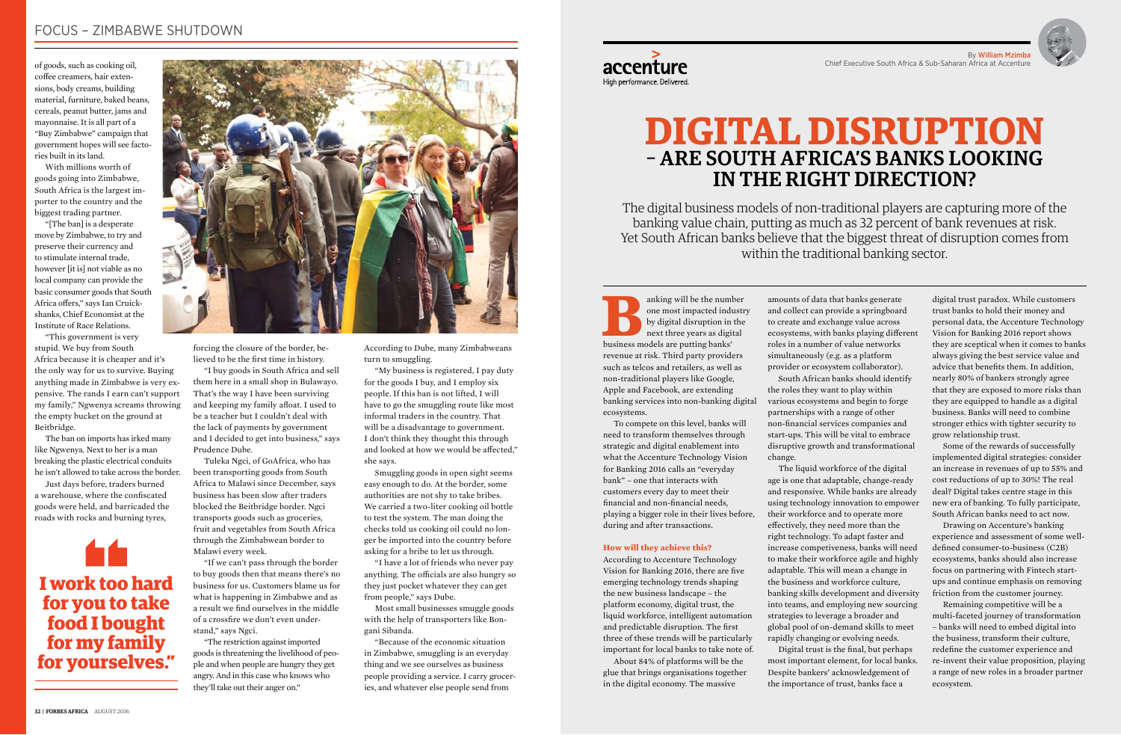### **DIGITAL DISRUPTION** – ARE SOUTH AFRICA'S BANKS LOOKING IN THE RIGHT DIRECTION?

anking will be the number<br>
one most impacted industry<br>
by digital disruption in the<br>
next three years as digital<br>
business models are putting banks' one most impacted industry by digital disruption in the next three years as digital revenue at risk. Third party providers such as telcos and retailers, as well as non-traditional players like Google, Apple and Facebook, are extending banking services into non-banking digital ecosystems.

To compete on this level, banks will need to transform themselves through strategic and digital enablement into what the Accenture Technology Vision for Banking 2016 calls an "everyday bank" – one that interacts with customers every day to meet their financial and non-financial needs, playing a bigger role in their lives before, during and after transactions.

#### **How will they achieve this?**

According to Accenture Technology Vision for Banking 2016, there are five emerging technology trends shaping the new business landscape – the platform economy, digital trust, the liquid workforce, intelligent automation and predictable disruption. The first three of these trends will be particularly important for local banks to take note of.

About 84% of platforms will be the glue that brings organisations together in the digital economy. The massive

amounts of data that banks generate and collect can provide a springboard to create and exchange value across ecosystems, with banks playing different roles in a number of value networks simultaneously (e.g. as a platform provider or ecosystem collaborator). South African banks should identify the roles they want to play within various ecosystems and begin to forge partnerships with a range of other non-financial services companies and start-ups. This will be vital to embrace disruptive growth and transformational

change.

The liquid workforce of the digital Digital trust is the final, but perhaps

age is one that adaptable, change-ready and responsive. While banks are already using technology innovation to empower their workforce and to operate more effectively, they need more than the right technology. To adapt faster and increase competiveness, banks will need to make their workforce agile and highly adaptable. This will mean a change in the business and workforce culture, banking skills development and diversity into teams, and employing new sourcing strategies to leverage a broader and global pool of on-demand skills to meet rapidly changing or evolving needs. most important element, for local banks. Despite bankers' acknowledgement of the importance of trust, banks face a

digital trust paradox. While customers trust banks to hold their money and personal data, the Accenture Technology Vision for Banking 2016 report shows they are sceptical when it comes to banks always giving the best service value and advice that benefits them. In addition, nearly 80% of bankers strongly agree that they are exposed to more risks than they are equipped to handle as a digital business. Banks will need to combine stronger ethics with tighter security to grow relationship trust.

Some of the rewards of successfully implemented digital strategies: consider an increase in revenues of up to 55% and cost reductions of up to 30%! The real deal? Digital takes centre stage in this new era of banking. To fully participate, South African banks need to act now.

Drawing on Accenture's banking experience and assessment of some welldefined consumer-to-business (C2B) ecosystems, banks should also increase focus on partnering with Fintech startups and continue emphasis on removing friction from the customer journey.

Remaining competitive will be a multi-faceted journey of transformation – banks will need to embed digital into the business, transform their culture, redefine the customer experience and re-invent their value proposition, playing a range of new roles in a broader partner ecosystem.

The digital business models of non-traditional players are capturing more of the banking value chain, putting as much as 32 percent of bank revenues at risk. Yet South African banks believe that the biggest threat of disruption comes from within the traditional banking sector.

By William Mzimba





coffee creamers, hair extensions, body creams, building material, furniture, baked beans, cereals, peanut butter, jams and mayonnaise. It is all part of a "Buy Zimbabwe" campaign that government hopes will see factories built in its land.

With millions worth of goods going into Zimbabwe, South Africa is the largest importer to the country and the biggest trading partner.

"[The ban] is a desperate move by Zimbabwe, to try and preserve their currency and to stimulate internal trade, however [it is] not viable as no local company can provide the basic consumer goods that South Africa offers," says Ian Cruickshanks, Chief Economist at the Institute of Race Relations.

"This government is very stupid. We buy from South Africa because it is cheaper and it's the only way for us to survive. Buying anything made in Zimbabwe is very expensive. The rands I earn can't support my family," Ngwenya screams throwing the empty bucket on the ground at Beitbridge.

The ban on imports has irked many like Ngwenya. Next to her is a man breaking the plastic electrical conduits he isn't allowed to take across the border.

Just days before, traders burned a warehouse, where the confiscated goods were held, and barricaded the roads with rocks and burning tyres,

forcing the closure of the border, believed to be the first time in history.

"I buy goods in South Africa and sell them here in a small shop in Bulawayo. That's the way I have been surviving and keeping my family afloat. I used to be a teacher but I couldn't deal with the lack of payments by government and I decided to get into business," says Prudence Dube.

Tuleka Ngci, of GoAfrica, who has been transporting goods from South Africa to Malawi since December, says business has been slow after traders blocked the Beitbridge border. Ngci transports goods such as groceries, fruit and vegetables from South Africa through the Zimbabwean border to Malawi every week.

"If we can't pass through the border to buy goods then that means there's no business for us. Customers blame us for what is happening in Zimbabwe and as a result we find ourselves in the middle of a crossfire we don't even understand," says Ngci.

"The restriction against imported goods is threatening the livelihood of people and when people are hungry they get angry. And in this case who knows who they'll take out their anger on."



#### FOCUS – ZIMBABWE SHUTDOWN

According to Dube, many Zimbabweans turn to smuggling.

"My business is registered, I pay duty for the goods I buy, and I employ six people. If this ban is not lifted, I will have to go the smuggling route like most informal traders in the country. That will be a disadvantage to government. I don't think they thought this through and looked at how we would be affected," she says.

Smuggling goods in open sight seems easy enough to do. At the border, some authorities are not shy to take bribes. We carried a two-liter cooking oil bottle to test the system. The man doing the checks told us cooking oil could no longer be imported into the country before asking for a bribe to let us through.

"I have a lot of friends who never pay anything. The officials are also hungry so they just pocket whatever they can get from people," says Dube.

Most small businesses smuggle goods with the help of transporters like Bongani Sibanda.

"Because of the economic situation in Zimbabwe, smuggling is an everyday thing and we see ourselves as business people providing a service. I carry groceries, and whatever else people send from

### High performance. Delivered.